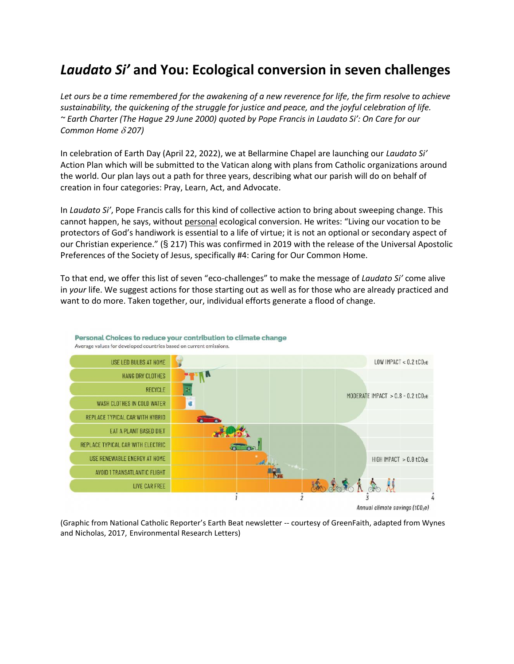# *Laudato Si'* **and You: Ecological conversion in seven challenges**

*Let ours be a time remembered for the awakening of a new reverence for life, the firm resolve to achieve sustainability, the quickening of the struggle for justice and peace, and the joyful celebration of life. ~ Earth Charter (The Hague 29 June 2000) quoted by Pope Francis in Laudato Si': On Care for our Common Home 207)*

In celebration of Earth Day (April 22, 2022), we at Bellarmine Chapel are launching our *Laudato Si'* Action Plan which will be submitted to the Vatican along with plans from Catholic organizations around the world. Our plan lays out a path for three years, describing what our parish will do on behalf of creation in four categories: Pray, Learn, Act, and Advocate.

In *Laudato Si'*, Pope Francis calls for this kind of collective action to bring about sweeping change. This cannot happen, he says, without personal ecological conversion. He writes: "Living our vocation to be protectors of God's handiwork is essential to a life of virtue; it is not an optional or secondary aspect of our Christian experience." (§ 217) This was confirmed in 2019 with the release of the Universal Apostolic Preferences of the Society of Jesus, specifically #4: Caring for Our Common Home.

To that end, we offer this list of seven "eco-challenges" to make the message of *Laudato Si'* come alive in *your* life. We suggest actions for those starting out as well as for those who are already practiced and want to do more. Taken together, our, individual efforts generate a flood of change.



Personal Choices to reduce your contribution to climate change Average values for developed countries based on current emissions.

(Graphic from National Catholic Reporter's Earth Beat newsletter -- courtesy of GreenFaith, adapted from Wynes and Nicholas, 2017, Environmental Research Letters)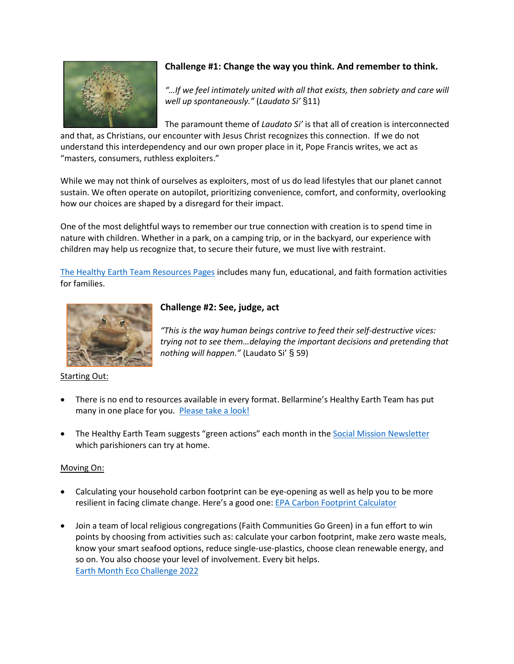

# **Challenge #1: Change the way you think. And remember to think.**

*"…If we feel intimately united with all that exists, then sobriety and care will well up spontaneously."* (*Laudato Si'* §11)

The paramount theme of *Laudato Si'* is that all of creation is interconnected

*"This is the way human beings contrive to feed their self-destructive vices: trying not to see them…delaying the important decisions and pretending that* 

and that, as Christians, our encounter with Jesus Christ recognizes this connection. If we do not understand this interdependency and our own proper place in it, Pope Francis writes, we act as "masters, consumers, ruthless exploiters."

While we may not think of ourselves as exploiters, most of us do lead lifestyles that our planet cannot sustain. We often operate on autopilot, prioritizing convenience, comfort, and conformity, overlooking how our choices are shaped by a disregard for their impact.

One of the most delightful ways to remember our true connection with creation is to spend time in nature with children. Whether in a park, on a camping trip, or in the backyard, our experience with children may help us recognize that, to secure their future, we must live with restraint.

[The Healthy Earth Team Resources Pages](https://www.bellarminechapel.org/healthyearth.html) includes many fun, educational, and faith formation activities for families.

**Challenge #2: See, judge, act**



## Starting Out:

 There is no end to resources available in every format. Bellarmine's Healthy Earth Team has put many in one place for you. [Please take a look!](https://www.bellarminechapel.org/healthyearth.html)

*nothing will happen."* (Laudato Si' § 59)

• The Healthy Earth Team suggests "green actions" each month in the [Social Mission Newsletter](https://www.bellarminechapel.org/social-mission-newsletter.html) which parishioners can try at home.

## Moving On:

- Calculating your household carbon footprint can be eye-opening as well as help you to be more resilient in facing climate change. Here's a good one: [EPA Carbon Footprint Calculator](https://www3.epa.gov/carbon-footprint-calculator/)
- Join a team of local religious congregations (Faith Communities Go Green) in a fun effort to win points by choosing from activities such as: calculate your carbon footprint, make zero waste meals, know your smart seafood options, reduce single-use-plastics, choose clean renewable energy, and so on. You also choose your level of involvement. Every bit helps. [Earth Month Eco Challenge 2022](https://greenumbrella.org/event-4729816)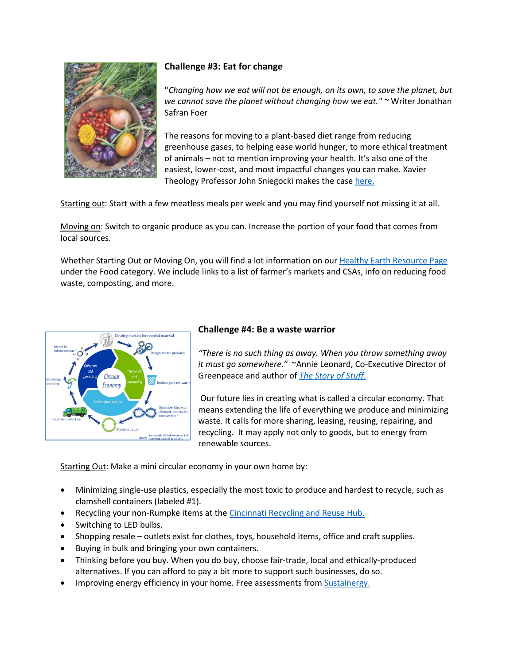

# **Challenge #3: Eat for change**

**"***Changing how we eat will not be enough, on its own, to save the planet, but we cannot save the planet without changing how we eat." ~* Writer Jonathan Safran Foer

The reasons for moving to a plant-based diet range from reducing greenhouse gases, to helping ease world hunger, to more ethical treatment of animals – not to mention improving your health. It's also one of the easiest, lower-cost, and most impactful changes you can make. Xavier Theology Professor John Sniegocki makes the case [here.](https://www.bellarminechapel.org/uploads/9/1/1/0/91105554/meatless_for_lent_handout.pdf)

Starting out: Start with a few meatless meals per week and you may find yourself not missing it at all.

Moving on: Switch to organic produce as you can. Increase the portion of your food that comes from local sources.

Whether Starting Out or Moving On, you will find a lot information on ou[r Healthy Earth Resource Page](https://www.bellarminechapel.org/healthyearth.html) under the Food category. We include links to a list of farmer's markets and CSAs, info on reducing food waste, composting, and more.



# **Challenge #4: Be a waste warrior**

*"There is no such thing as away. When you throw something away it must go somewhere."* ~Annie Leonard, Co-Executive Director of Greenpeace and author of *[The Story of Stuff](https://www.storyofstuff.org/)*.

Our future lies in creating what is called a circular economy. That means extending the life of everything we produce and minimizing waste. It calls for more sharing, leasing, reusing, repairing, and recycling. It may apply not only to goods, but to energy from renewable sources.

Starting Out: Make a mini circular economy in your own home by:

- Minimizing single-use plastics, especially the most toxic to produce and hardest to recycle, such as clamshell containers (labeled #1).
- Recycling your non-Rumpke items at the [Cincinnati Recycling and Reuse Hub.](https://www.cincinnatirecyclingandreusehub.org/)
- Switching to LED bulbs.
- Shopping resale outlets exist for clothes, toys, household items, office and craft supplies.
- Buying in bulk and bringing your own containers.
- Thinking before you buy. When you do buy, choose fair-trade, local and ethically-produced alternatives. If you can afford to pay a bit more to support such businesses, do so.
- Improving energy efficiency in your home. Free assessments from [Sustainergy.](https://www.sustainergy.coop/)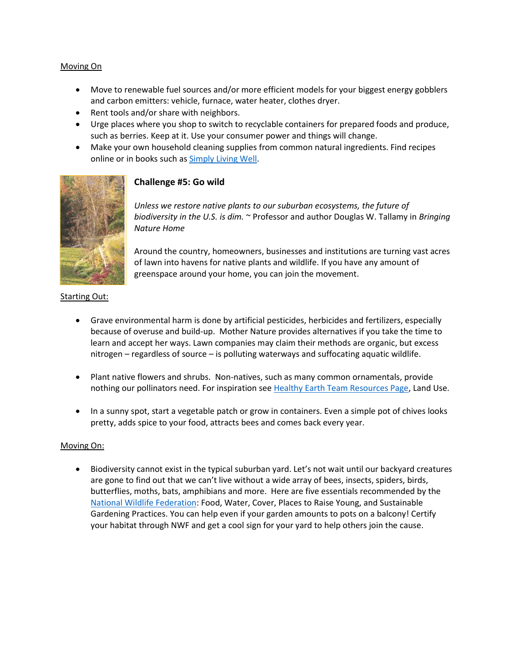#### Moving On

- Move to renewable fuel sources and/or more efficient models for your biggest energy gobblers and carbon emitters: vehicle, furnace, water heater, clothes dryer.
- Rent tools and/or share with neighbors.
- Urge places where you shop to switch to recyclable containers for prepared foods and produce, such as berries. Keep at it. Use your consumer power and things will change.
- Make your own household cleaning supplies from common natural ingredients. Find recipes online or in books such a[s Simply Living Well.](https://simplylivingwell.com/)



#### **Challenge #5: Go wild**

*Unless we restore native plants to our suburban ecosystems, the future of biodiversity in the U.S. is dim.* ~ Professor and author Douglas W. Tallamy in *Bringing Nature Home*

Around the country, homeowners, businesses and institutions are turning vast acres of lawn into havens for native plants and wildlife. If you have any amount of greenspace around your home, you can join the movement.

#### Starting Out:

- Grave environmental harm is done by artificial pesticides, herbicides and fertilizers, especially because of overuse and build-up. Mother Nature provides alternatives if you take the time to learn and accept her ways. Lawn companies may claim their methods are organic, but excess nitrogen – regardless of source – is polluting waterways and suffocating aquatic wildlife.
- Plant native flowers and shrubs. Non-natives, such as many common ornamentals, provide nothing our pollinators need. For inspiration see [Healthy Earth Team Resources Page,](https://www.bellarminechapel.org/healthyearth.html) Land Use.
- In a sunny spot, start a vegetable patch or grow in containers. Even a simple pot of chives looks pretty, adds spice to your food, attracts bees and comes back every year.

#### Moving On:

 Biodiversity cannot exist in the typical suburban yard. Let's not wait until our backyard creatures are gone to find out that we can't live without a wide array of bees, insects, spiders, birds, butterflies, moths, bats, amphibians and more. Here are five essentials recommended by the [National Wildlife Federation:](https://www.nwf.org/Garden-for-Wildlife/Certify) Food, Water, Cover, Places to Raise Young, and Sustainable Gardening Practices. You can help even if your garden amounts to pots on a balcony! Certify your habitat through NWF and get a cool sign for your yard to help others join the cause.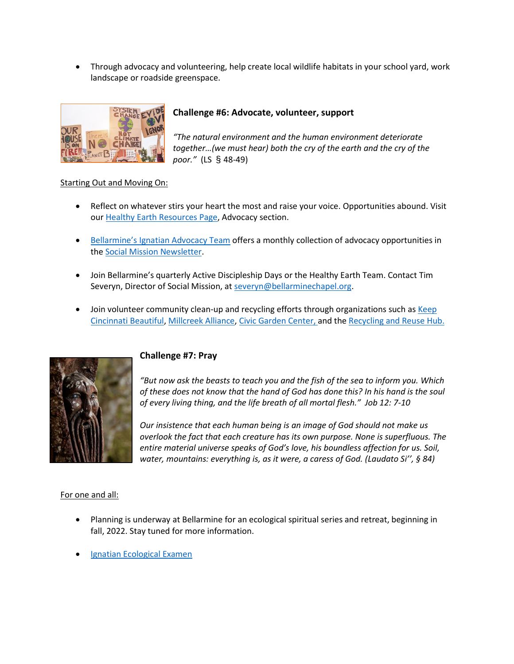Through advocacy and volunteering, help create local wildlife habitats in your school yard, work landscape or roadside greenspace.



# **Challenge #6: Advocate, volunteer, support**

*"The natural environment and the human environment deteriorate together…(we must hear) both the cry of the earth and the cry of the poor."* (LS § 48-49)

#### Starting Out and Moving On:

- Reflect on whatever stirs your heart the most and raise your voice. Opportunities abound. Visit our [Healthy Earth Resources Page,](https://www.bellarminechapel.org/healthyearth.html) Advocacy section.
- [Bellarmine's Ignatian Advocacy Team](https://www.bellarminechapel.org/advocacy.html) offers a monthly collection of advocacy opportunities in th[e Social Mission Newsletter.](https://www.bellarminechapel.org/social-mission-newsletter.html)
- Join Bellarmine's quarterly Active Discipleship Days or the Healthy Earth Team. Contact Tim Severyn, Director of Social Mission, at [severyn@bellarminechapel.org.](mailto:severyn@bellarminechapel.org)
- Join volunteer community clean-up and recycling efforts through organizations such as Keep [Cincinnati Beautiful,](https://www.keepcincinnatibeautiful.org/) [Millcreek Alliance,](https://www.themillcreekalliance.org/) [Civic Garden Center,](civic%20garden%20center) and th[e Recycling and Reuse Hub.](https://www.cincinnatirecyclingandreusehub.org/)



# **Challenge #7: Pray**

*"But now ask the beasts to teach you and the fish of the sea to inform you. Which of these does not know that the hand of God has done this? In his hand is the soul of every living thing, and the life breath of all mortal flesh." Job 12: 7-10*

*Our insistence that each human being is an image of God should not make us overlook the fact that each creature has its own purpose. None is superfluous. The entire material universe speaks of God's love, his boundless affection for us. Soil, water, mountains: everything is, as it were, a caress of God. (Laudato Si'', § 84)*

#### For one and all:

- Planning is underway at Bellarmine for an ecological spiritual series and retreat, beginning in fall, 2022. Stay tuned for more information.
- [Ignatian Ecological Examen](http://www.ecologicalexamen.org/)